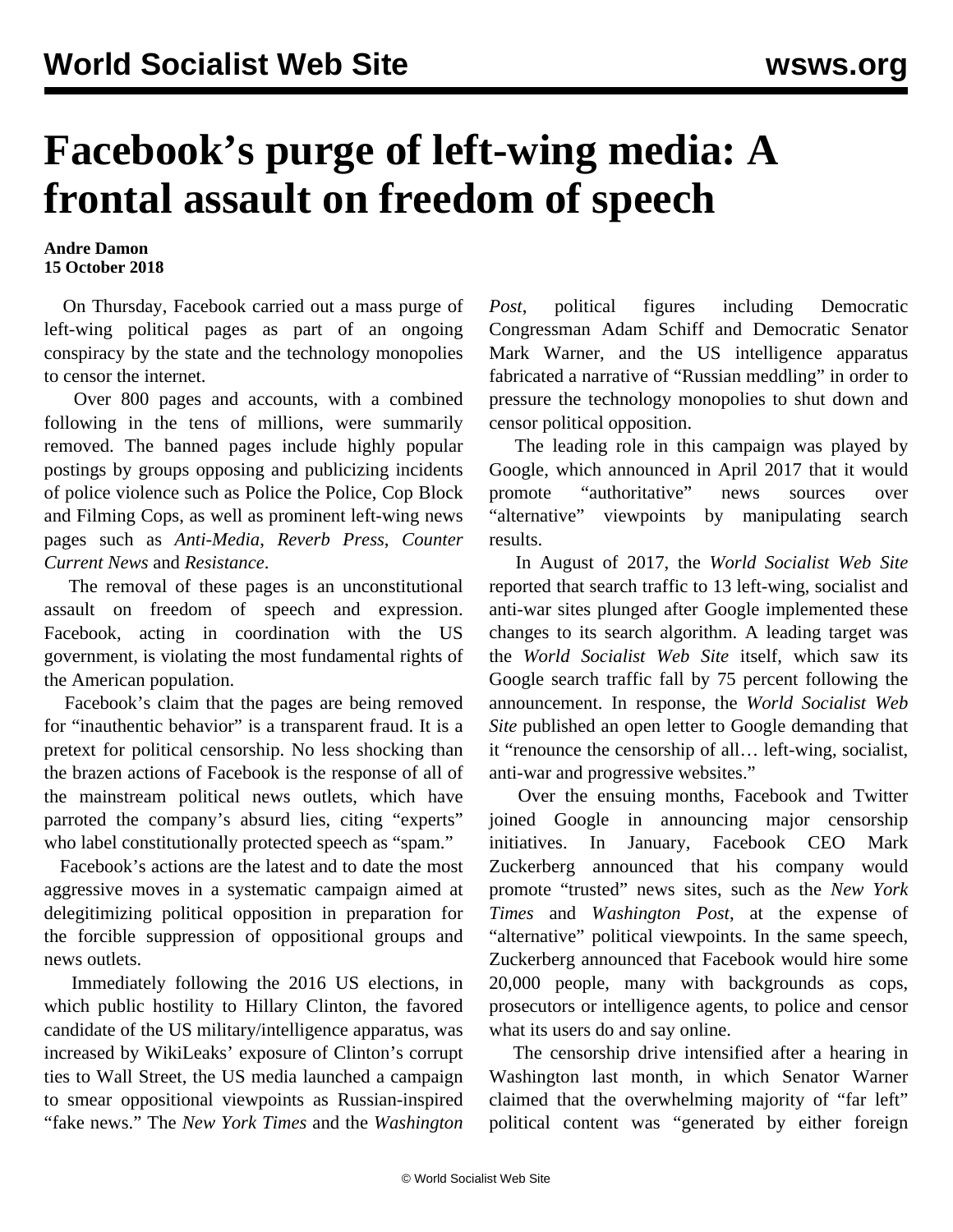## **Facebook's purge of left-wing media: A frontal assault on freedom of speech**

## **Andre Damon 15 October 2018**

 On Thursday, Facebook carried out a mass purge of left-wing political pages as part of an ongoing conspiracy by the state and the technology monopolies to censor the internet.

 Over 800 pages and accounts, with a combined following in the tens of millions, were summarily removed. The banned pages include highly popular postings by groups opposing and publicizing incidents of police violence such as Police the Police, Cop Block and Filming Cops, as well as prominent left-wing news pages such as *Anti-Media*, *Reverb Press*, *Counter Current News* and *Resistance*.

 The removal of these pages is an unconstitutional assault on freedom of speech and expression. Facebook, acting in coordination with the US government, is violating the most fundamental rights of the American population.

 Facebook's claim that the pages are being removed for "inauthentic behavior" is a transparent fraud. It is a pretext for political censorship. No less shocking than the brazen actions of Facebook is the response of all of the mainstream political news outlets, which have parroted the company's absurd lies, citing "experts" who label constitutionally protected speech as "spam."

 Facebook's actions are the latest and to date the most aggressive moves in a systematic campaign aimed at delegitimizing political opposition in preparation for the forcible suppression of oppositional groups and news outlets.

 Immediately following the 2016 US elections, in which public hostility to Hillary Clinton, the favored candidate of the US military/intelligence apparatus, was increased by WikiLeaks' exposure of Clinton's corrupt ties to Wall Street, the US media launched a campaign to smear oppositional viewpoints as Russian-inspired "fake news." The *New York Times* and the *Washington*

*Post*, political figures including Democratic Congressman Adam Schiff and Democratic Senator Mark Warner, and the US intelligence apparatus fabricated a narrative of "Russian meddling" in order to pressure the technology monopolies to shut down and censor political opposition.

 The leading role in this campaign was played by Google, which announced in April 2017 that it would promote "authoritative" news sources over "alternative" viewpoints by manipulating search results.

 In August of 2017, the *World Socialist Web Site* reported that search traffic to 13 left-wing, socialist and anti-war sites plunged after Google implemented these changes to its search algorithm. A leading target was the *World Socialist Web Site* itself, which saw its Google search traffic fall by 75 percent following the announcement. In response, the *World Socialist Web Site* published an open letter to Google demanding that it "renounce the censorship of all… left-wing, socialist, anti-war and progressive websites."

 Over the ensuing months, Facebook and Twitter joined Google in announcing major censorship initiatives. In January, Facebook CEO Mark Zuckerberg announced that his company would promote "trusted" news sites, such as the *New York Times* and *Washington Post*, at the expense of "alternative" political viewpoints. In the same speech, Zuckerberg announced that Facebook would hire some 20,000 people, many with backgrounds as cops, prosecutors or intelligence agents, to police and censor what its users do and say online.

 The censorship drive intensified after a hearing in Washington last month, in which Senator Warner claimed that the overwhelming majority of "far left" political content was "generated by either foreign